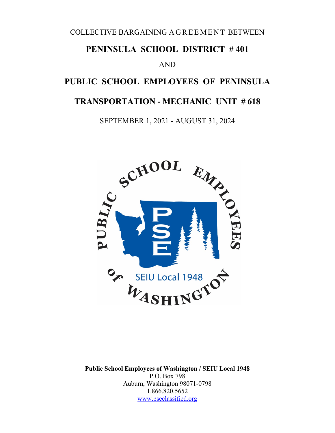COLLECTIVE BARGAINING AGREEMENT BETWEEN

## **PENINSULA SCHOOL DISTRICT # 401**

#### AND

# **PUBLIC SCHOOL EMPLOYEES OF PENINSULA**

# **TRANSPORTATION - MECHANIC UNIT # 618**

SEPTEMBER 1, 2021 - AUGUST 31, 2024



**Public School Employees of Washington / SEIU Local 1948** P.O. Box 798 Auburn, Washington 98071-0798 1.866.820.5652 [www.pseclassified.org](http://www.pseclassified.org/)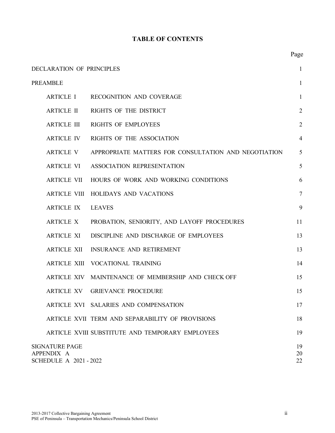#### **TABLE OF CONTENTS**

| DECLARATION OF PRINCIPLES<br>$\mathbf{1}$                          |                                                      |                |  |
|--------------------------------------------------------------------|------------------------------------------------------|----------------|--|
| <b>PREAMBLE</b>                                                    |                                                      | $\mathbf{1}$   |  |
| <b>ARTICLE I</b>                                                   | <b>RECOGNITION AND COVERAGE</b>                      | 1              |  |
| <b>ARTICLE II</b>                                                  | RIGHTS OF THE DISTRICT                               | $\overline{2}$ |  |
| <b>ARTICLE III</b>                                                 | <b>RIGHTS OF EMPLOYEES</b>                           | $\overline{2}$ |  |
| <b>ARTICLE IV</b>                                                  | RIGHTS OF THE ASSOCIATION                            | $\overline{4}$ |  |
| <b>ARTICLE V</b>                                                   | APPROPRIATE MATTERS FOR CONSULTATION AND NEGOTIATION | 5              |  |
| <b>ARTICLE VI</b>                                                  | ASSOCIATION REPRESENTATION                           | 5              |  |
| <b>ARTICLE VII</b>                                                 | HOURS OF WORK AND WORKING CONDITIONS                 | 6              |  |
|                                                                    | ARTICLE VIII HOLIDAYS AND VACATIONS                  | $\tau$         |  |
| <b>ARTICLE IX</b>                                                  | <b>LEAVES</b>                                        | 9              |  |
| <b>ARTICLE X</b>                                                   | PROBATION, SENIORITY, AND LAYOFF PROCEDURES          | 11             |  |
| <b>ARTICLE XI</b>                                                  | DISCIPLINE AND DISCHARGE OF EMPLOYEES                | 13             |  |
| <b>ARTICLE XII</b>                                                 | <b>INSURANCE AND RETIREMENT</b>                      | 13             |  |
| <b>ARTICLE XIII</b>                                                | <b>VOCATIONAL TRAINING</b>                           | 14             |  |
| <b>ARTICLE XIV</b>                                                 | MAINTENANCE OF MEMBERSHIP AND CHECK OFF              | 15             |  |
| <b>ARTICLE XV</b>                                                  | <b>GRIEVANCE PROCEDURE</b>                           | 15             |  |
|                                                                    | ARTICLE XVI SALARIES AND COMPENSATION                | 17             |  |
|                                                                    | ARTICLE XVII TERM AND SEPARABILITY OF PROVISIONS     | 18             |  |
|                                                                    | ARTICLE XVIII SUBSTITUTE AND TEMPORARY EMPLOYEES     | 19             |  |
| <b>SIGNATURE PAGE</b><br>APPENDIX A<br><b>SCHEDULE A 2021-2022</b> |                                                      | 19<br>20<br>22 |  |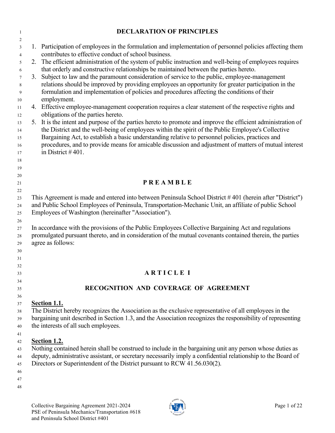| $\mathbf{1}$   | <b>DECLARATION OF PRINCIPLES</b>                                                                             |
|----------------|--------------------------------------------------------------------------------------------------------------|
| 2              |                                                                                                              |
| 3              | 1. Participation of employees in the formulation and implementation of personnel policies affecting them     |
| $\overline{4}$ | contributes to effective conduct of school business.                                                         |
| 5              | 2. The efficient administration of the system of public instruction and well-being of employees requires     |
| 6              | that orderly and constructive relationships be maintained between the parties hereto.                        |
| $\tau$         | 3. Subject to law and the paramount consideration of service to the public, employee-management              |
| 8              | relations should be improved by providing employees an opportunity for greater participation in the          |
| 9              | formulation and implementation of policies and procedures affecting the conditions of their                  |
| 10             | employment.                                                                                                  |
| 11             | 4. Effective employee-management cooperation requires a clear statement of the respective rights and         |
| 12             | obligations of the parties hereto.                                                                           |
| 13             | 5. It is the intent and purpose of the parties hereto to promote and improve the efficient administration of |
| 14             | the District and the well-being of employees within the spirit of the Public Employee's Collective           |
| 15             | Bargaining Act, to establish a basic understanding relative to personnel policies, practices and             |
| 16             | procedures, and to provide means for amicable discussion and adjustment of matters of mutual interest        |
| 17             | in District $#401$ .                                                                                         |
| 18             |                                                                                                              |
| 19             |                                                                                                              |
| 20<br>$21\,$   | <b>PREAMBLE</b>                                                                                              |
| $22\,$         |                                                                                                              |
| 23             | This Agreement is made and entered into between Peninsula School District #401 (herein after "District")     |
| 24             | and Public School Employees of Peninsula, Transportation-Mechanic Unit, an affiliate of public School        |
| 25             | Employees of Washington (hereinafter "Association").                                                         |
| 26             |                                                                                                              |
| $27\,$         | In accordance with the provisions of the Public Employees Collective Bargaining Act and regulations          |
| 28             | promulgated pursuant thereto, and in consideration of the mutual covenants contained therein, the parties    |
| 29             | agree as follows:                                                                                            |
| $30\,$         |                                                                                                              |
| 31             |                                                                                                              |
| 32             |                                                                                                              |
| 33             | <b>ARTICLE I</b>                                                                                             |
| 34             |                                                                                                              |
| 35             | RECOGNITION AND COVERAGE OF AGREEMENT                                                                        |
| 36             |                                                                                                              |
| 37             | Section 1.1.                                                                                                 |
| 38             | The District hereby recognizes the Association as the exclusive representative of all employees in the       |
| 39             | bargaining unit described in Section 1.3, and the Association recognizes the responsibility of representing  |
| 40             | the interests of all such employees.                                                                         |
| 41             |                                                                                                              |
| 42             | Section 1.2.                                                                                                 |
| 43             | Nothing contained herein shall be construed to include in the bargaining unit any person whose duties as     |
| 44             | deputy, administrative assistant, or secretary necessarily imply a confidential relationship to the Board of |
| 45             | Directors or Superintendent of the District pursuant to RCW 41.56.030(2).                                    |
| 46             |                                                                                                              |
| 47             |                                                                                                              |
| 48             |                                                                                                              |
|                |                                                                                                              |

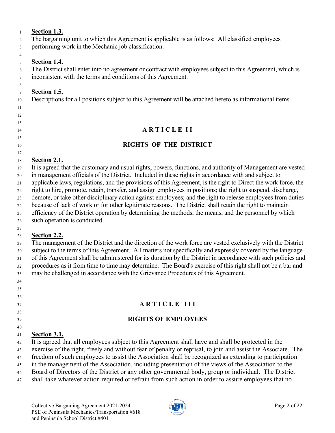#### **Section 1.3.**

The bargaining unit to which this Agreement is applicable is as follows: All classified employees

performing work in the Mechanic job classification.

#### **Section 1.4.**

 

 The District shall enter into no agreement or contract with employees subject to this Agreement, which is inconsistent with the terms and conditions of this Agreement.

#### **Section 1.5.**

Descriptions for all positions subject to this Agreement will be attached hereto as informational items.

#### **A R T I C L E I I**

#### **RIGHTS OF THE DISTRICT**

#### **Section 2.1.**

 It is agreed that the customary and usual rights, powers, functions, and authority of Management are vested in management officials of the District. Included in these rights in accordance with and subject to applicable laws, regulations, and the provisions of this Agreement, is the right to Direct the work force, the

right to hire, promote, retain, transfer, and assign employees in positions; the right to suspend, discharge,

demote, or take other disciplinary action against employees; and the right to release employees from duties

because of lack of work or for other legitimate reasons. The District shall retain the right to maintain

 efficiency of the District operation by determining the methods, the means, and the personnel by which such operation is conducted.

#### **Section 2.2.**

 The management of the District and the direction of the work force are vested exclusively with the District subject to the terms of this Agreement. All matters not specifically and expressly covered by the language of this Agreement shall be administered for its duration by the District in accordance with such policies and procedures as it from time to time may determine. The Board's exercise of this right shall not be a bar and may be challenged in accordance with the Grievance Procedures of this Agreement.

#### 

- 
- 

- 
- 

#### **A R T I C L E I I I**

#### **RIGHTS OF EMPLOYEES**

#### **Section 3.1.**

It is agreed that all employees subject to this Agreement shall have and shall be protected in the

exercise of the right, freely and without fear of penalty or reprisal, to join and assist the Associate. The

freedom of such employees to assist the Association shall be recognized as extending to participation

in the management of the Association, including presentation of the views of the Association to the

Board of Directors of the District or any other governmental body, group or individual. The District

shall take whatever action required or refrain from such action in order to assure employees that no

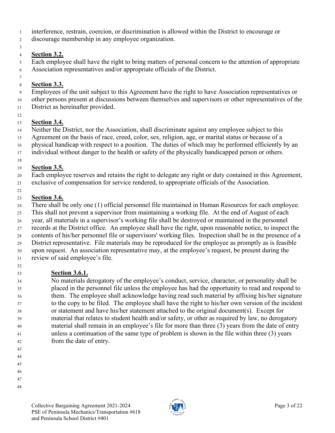- interference, restrain, coercion, or discrimination is allowed within the District to encourage or
- discourage membership in any employee organization.
- 

#### **Section 3.2.**

Each employee shall have the right to bring matters of personal concern to the attention of appropriate

Association representatives and/or appropriate officials of the District.

#### **Section 3.3.**

Employees of the unit subject to this Agreement have the right to have Association representatives or

- other persons present at discussions between themselves and supervisors or other representatives of the District as hereinafter provided.
- 

#### **Section 3.4.**

Neither the District, nor the Association, shall discriminate against any employee subject to this

Agreement on the basis of race, creed, color, sex, religion, age, or marital status or because of a

physical handicap with respect to a position. The duties of which may be performed efficiently by an

17 individual without danger to the health or safety of the physically handicapped person or others.

### **Section 3.5.**

Each employee reserves and retains the right to delegate any right or duty contained in this Agreement,

exclusive of compensation for service rendered, to appropriate officials of the Association.

#### **Section 3.6.**

There shall be only one (1) official personnel file maintained in Human Resources for each employee.

 This shall not prevent a supervisor from maintaining a working file. At the end of August of each year, all materials in a supervisor's working file shall be destroyed or maintained in the personnel

records at the District office. An employee shall have the right, upon reasonable notice, to inspect the

 contents of his/her personnel file or supervisors' working files. Inspection shall be in the presence of a District representative. File materials may be reproduced for the employee as promptly as is feasible

 upon request. An association representative may, at the employee's request, be present during the review of said employee's file.

# **Section 3.6.1.**

 No materials derogatory of the employee's conduct, service, character, or personality shall be placed in the personnel file unless the employee has had the opportunity to read and respond to them. The employee shall acknowledge having read such material by affixing his/her signature to the copy to be filed. The employee shall have the right to his/her own version of the incident or statement and have his/her statement attached to the original document(s). Except for material that relates to student health and/or safety, or other as required by law, no derogatory material shall remain in an employee's file for more than three (3) years from the date of entry unless a continuation of the same type of problem is shown in the file within three (3) years from the date of entry.

- 
- 
- 
- 
- 
- 

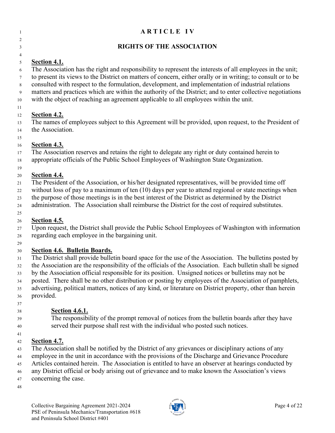| $\mathbf{1}$        | ARTICLE IV                                                                                                                                                                                                           |
|---------------------|----------------------------------------------------------------------------------------------------------------------------------------------------------------------------------------------------------------------|
| 2                   |                                                                                                                                                                                                                      |
| 3                   | <b>RIGHTS OF THE ASSOCIATION</b>                                                                                                                                                                                     |
| $\overline{4}$      |                                                                                                                                                                                                                      |
| $\mathfrak{S}$<br>6 | <b>Section 4.1.</b><br>The Association has the right and responsibility to represent the interests of all employees in the unit;                                                                                     |
| $\tau$<br>8         | to present its views to the District on matters of concern, either orally or in writing; to consult or to be<br>consulted with respect to the formulation, development, and implementation of industrial relations   |
| 9<br>$10\,$         | matters and practices which are within the authority of the District; and to enter collective negotiations<br>with the object of reaching an agreement applicable to all employees within the unit.                  |
| 11                  |                                                                                                                                                                                                                      |
| 12                  | <b>Section 4.2.</b>                                                                                                                                                                                                  |
| 13                  | The names of employees subject to this Agreement will be provided, upon request, to the President of                                                                                                                 |
| 14                  | the Association.                                                                                                                                                                                                     |
| 15                  | <b>Section 4.3.</b>                                                                                                                                                                                                  |
| 16<br>17            | The Association reserves and retains the right to delegate any right or duty contained herein to                                                                                                                     |
| 18                  | appropriate officials of the Public School Employees of Washington State Organization.                                                                                                                               |
| 19                  |                                                                                                                                                                                                                      |
| 20                  | Section 4.4.                                                                                                                                                                                                         |
| 21                  | The President of the Association, or his/her designated representatives, will be provided time off                                                                                                                   |
| 22                  | without loss of pay to a maximum of ten $(10)$ days per year to attend regional or state meetings when                                                                                                               |
| 23                  | the purpose of those meetings is in the best interest of the District as determined by the District                                                                                                                  |
| $24\,$              | administration. The Association shall reimburse the District for the cost of required substitutes.                                                                                                                   |
| 25                  |                                                                                                                                                                                                                      |
| 26                  | Section 4.5.                                                                                                                                                                                                         |
| 27                  | Upon request, the District shall provide the Public School Employees of Washington with information                                                                                                                  |
| 28                  | regarding each employee in the bargaining unit.                                                                                                                                                                      |
| 29                  |                                                                                                                                                                                                                      |
| 30                  | Section 4.6. Bulletin Boards.                                                                                                                                                                                        |
| 31                  | The District shall provide bulletin board space for the use of the Association. The bulletins posted by<br>the Association are the responsibility of the officials of the Association. Each bulletin shall be signed |
| 32<br>33            | by the Association official responsible for its position. Unsigned notices or bulletins may not be                                                                                                                   |
| 34                  | posted. There shall be no other distribution or posting by employees of the Association of pamphlets,                                                                                                                |
| 35                  | advertising, political matters, notices of any kind, or literature on District property, other than herein                                                                                                           |
| 36                  | provided.                                                                                                                                                                                                            |
| 37                  |                                                                                                                                                                                                                      |
| 38                  | <b>Section 4.6.1.</b>                                                                                                                                                                                                |
| 39                  | The responsibility of the prompt removal of notices from the bulletin boards after they have                                                                                                                         |
| 40                  | served their purpose shall rest with the individual who posted such notices.                                                                                                                                         |
| 41                  |                                                                                                                                                                                                                      |

#### **Section 4.7.**

 The Association shall be notified by the District of any grievances or disciplinary actions of any employee in the unit in accordance with the provisions of the Discharge and Grievance Procedure Articles contained herein. The Association is entitled to have an observer at hearings conducted by

any District official or body arising out of grievance and to make known the Association's views

- concerning the case.
- 

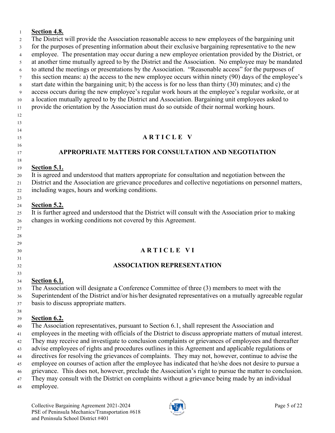#### **Section 4.8.**

 The District will provide the Association reasonable access to new employees of the bargaining unit for the purposes of presenting information about their exclusive bargaining representative to the new employee. The presentation may occur during a new employee orientation provided by the District, or at another time mutually agreed to by the District and the Association. No employee may be mandated to attend the meetings or presentations by the Association. "Reasonable access" for the purposes of this section means: a) the access to the new employee occurs within ninety (90) days of the employee's start date within the bargaining unit; b) the access is for no less than thirty (30) minutes; and c) the access occurs during the new employee's regular work hours at the employee's regular worksite, or at a location mutually agreed to by the District and Association. Bargaining unit employees asked to provide the orientation by the Association must do so outside of their normal working hours.

# **A R T I C L E V**

#### **APPROPRIATE MATTERS FOR CONSULTATION AND NEGOTIATION**

#### **Section 5.1.**

 

 

It is agreed and understood that matters appropriate for consultation and negotiation between the

District and the Association are grievance procedures and collective negotiations on personnel matters,

including wages, hours and working conditions.

#### **Section 5.2.**

 It is further agreed and understood that the District will consult with the Association prior to making changes in working conditions not covered by this Agreement.

#### **A R T I C L E V I**

#### **ASSOCIATION REPRESENTATION**

#### **Section 6.1.**

The Association will designate a Conference Committee of three (3) members to meet with the

 Superintendent of the District and/or his/her designated representatives on a mutually agreeable regular basis to discuss appropriate matters.

#### **Section 6.2.**

The Association representatives, pursuant to Section 6.1, shall represent the Association and

employees in the meeting with officials of the District to discuss appropriate matters of mutual interest.

They may receive and investigate to conclusion complaints or grievances of employees and thereafter

 advise employees of rights and procedures outlines in this Agreement and applicable regulations or directives for resolving the grievances of complaints. They may not, however, continue to advise the

employee on courses of action after the employee has indicated that he/she does not desire to pursue a

grievance. This does not, however, preclude the Association's right to pursue the matter to conclusion.

They may consult with the District on complaints without a grievance being made by an individual

employee.

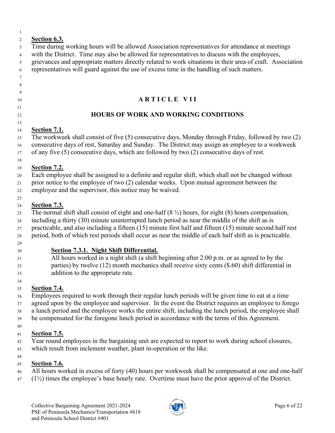| $\mathbf{1}$        |                                                                                                                                                                                                         |
|---------------------|---------------------------------------------------------------------------------------------------------------------------------------------------------------------------------------------------------|
| $\overline{2}$<br>3 | Section 6.3.<br>Time during working hours will be allowed Association representatives for attendance at meetings                                                                                        |
| $\overline{4}$      | with the District. Time may also be allowed for representatives to discuss with the employees,                                                                                                          |
| 5                   | grievances and appropriate matters directly related to work situations in their area of craft. Association                                                                                              |
| 6                   | representatives will guard against the use of excess time in the handling of such matters.                                                                                                              |
| $7\phantom{.0}$     |                                                                                                                                                                                                         |
| 8                   |                                                                                                                                                                                                         |
| 9                   |                                                                                                                                                                                                         |
| 10                  | <b>ARTICLE VII</b>                                                                                                                                                                                      |
| 11<br>12            | <b>HOURS OF WORK AND WORKING CONDITIONS</b>                                                                                                                                                             |
| 13                  |                                                                                                                                                                                                         |
| 14                  | <b>Section 7.1.</b>                                                                                                                                                                                     |
| 15<br>16            | The workweek shall consist of five (5) consecutive days, Monday through Friday, followed by two (2)<br>consecutive days of rest, Saturday and Sunday. The District may assign an employee to a workweek |
| 17                  | of any five (5) consecutive days, which are followed by two (2) consecutive days of rest.                                                                                                               |
| $18\,$              |                                                                                                                                                                                                         |
| 19                  | <b>Section 7.2.</b>                                                                                                                                                                                     |
| 20                  | Each employee shall be assigned to a definite and regular shift, which shall not be changed without<br>prior notice to the employee of two (2) calendar weeks. Upon mutual agreement between the        |
| 21<br>22            | employee and the supervisor, this notice may be waived.                                                                                                                                                 |
| 23                  |                                                                                                                                                                                                         |
| 24                  | Section 7.3.                                                                                                                                                                                            |
| 25                  | The normal shift shall consist of eight and one-half $(8 \frac{1}{2})$ hours, for eight $(8)$ hours compensation,                                                                                       |
| 26                  | including a thirty (30) minute uninterrupted lunch period as near the middle of the shift as is                                                                                                         |
| 27                  | practicable, and also including a fifteen (15) minute first half and fifteen (15) minute second half rest                                                                                               |
| 28<br>29            | period, both of which rest periods shall occur as near the middle of each half shift as is practicable.                                                                                                 |
| 30                  | Section 7.3.1. Night Shift Differential.                                                                                                                                                                |
| 31                  | All hours worked in a night shift (a shift beginning after 2:00 p.m. or as agreed to by the                                                                                                             |
| 32                  | parties) by twelve $(12)$ month mechanics shall receive sixty cents $(\$.60)$ shift differential in                                                                                                     |
| 33                  | addition to the appropriate rate.                                                                                                                                                                       |
| 34                  |                                                                                                                                                                                                         |
| 35                  | <b>Section 7.4.</b>                                                                                                                                                                                     |
| 36                  | Employees required to work through their regular lunch periods will be given time to eat at a time                                                                                                      |
| 37                  | agreed upon by the employee and supervisor. In the event the District requires an employee to forego                                                                                                    |
| 38                  | a lunch period and the employee works the entire shift, including the lunch period, the employee shall                                                                                                  |
| 39                  | be compensated for the foregone lunch period in accordance with the terms of this Agreement.                                                                                                            |
| 40                  | <b>Section 7.5.</b>                                                                                                                                                                                     |
| 41                  | Year round employees in the bargaining unit are expected to report to work during school closures,                                                                                                      |
| 42                  | which result from inclement weather, plant in-operation or the like.                                                                                                                                    |
| 43<br>44            |                                                                                                                                                                                                         |
| 45                  | <b>Section 7.6.</b>                                                                                                                                                                                     |
| 46                  | All hours worked in excess of forty (40) hours per workweek shall be compensated at one and one-half                                                                                                    |
| 47                  | $(1\frac{1}{2})$ times the employee's base hourly rate. Overtime must have the prior approval of the District.                                                                                          |
|                     |                                                                                                                                                                                                         |
|                     |                                                                                                                                                                                                         |

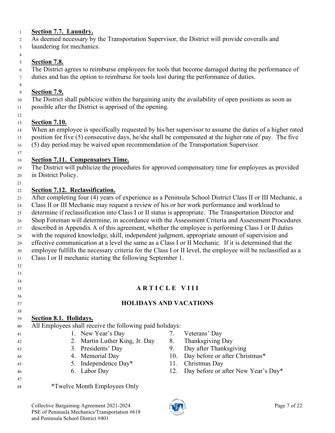#### **Section 7.7. Laundry.**

As deemed necessary by the Transportation Supervisor, the District will provide coveralls and

laundering for mechanics.

#### **Section 7.8.**

 The District agrees to reimburse employees for tools that become damaged during the performance of duties and has the option to reimburse for tools lost during the performance of duties.

#### **Section 7.9.**

 The District shall publicize within the bargaining unity the availability of open positions as soon as possible after the District is apprised of the opening.

#### **Section 7.10.**

 When an employee is specifically requested by his/her supervisor to assume the duties of a higher rated position for five (5) consecutive days, he/she shall be compensated at the higher rate of pay. The five (5) day period may be waived upon recommendation of the Transportation Supervisor.

#### **Section 7.11. Compensatory Time.**

 The District will publicize the procedures for approved compensatory time for employees as provided in District Policy.

#### **Section 7.12. Reclassification.**

After completing four (4) years of experience as a Peninsula School District Class II or III Mechanic, a

- Class II or III Mechanic may request a review of his or her work performance and workload to
- determine if reclassification into Class I or II status is appropriate. The Transportation Director and

Shop Foreman will determine, in accordance with the Assessment Criteria and Assessment Procedures

described in Appendix A of this agreement, whether the employee is performing Class I or II duties

with the required knowledge, skill, independent judgment, appropriate amount of supervision and

effective communication at a level the same as a Class I or II Mechanic. If it is determined that the

 employee fulfills the necessary criteria for the Class I or II level, the employee will be reclassified as a Class I or II mechanic starting the following September 1.

#### 

# **A R T I C L E V I I I**

### **HOLIDAYS AND VACATIONS**

### **Section 8.1. Holidays.**

- All Employees shall receive the following paid holidays: 1. New Year's Day 7. Veterans' Day 2. Martin Luther King, Jr. Day 8. Thanksgiving Day
	-
	-
- 5. Independence Day\* 11. Christmas Day
	-

and Peninsula School District #401

- 
- 
- 3. Presidents' Day 9. Day after Thanksgiving
- 44 44 4. Memorial Day 10. Day before or after Christmas\*
	-
- 6. Labor Day 12. Day before or after New Year's Day\*
	- Collective Bargaining Agreement 2021-2024 **Page 7** of 22 PSE of Peninsula Mechanics/Transportation #618

\*Twelve Month Employees Only

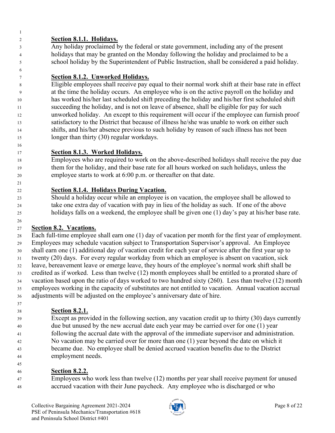#### **Section 8.1.1. Holidays.**

 Any holiday proclaimed by the federal or state government, including any of the present holidays that may be granted on the Monday following the holiday and proclaimed to be a school holiday by the Superintendent of Public Instruction, shall be considered a paid holiday.

#### **Section 8.1.2. Unworked Holidays.**

 Eligible employees shall receive pay equal to their normal work shift at their base rate in effect at the time the holiday occurs. An employee who is on the active payroll on the holiday and has worked his/her last scheduled shift preceding the holiday and his/her first scheduled shift succeeding the holiday, and is not on leave of absence, shall be eligible for pay for such unworked holiday. An except to this requirement will occur if the employee can furnish proof satisfactory to the District that because of illness he/she was unable to work on either such shifts, and his/her absence previous to such holiday by reason of such illness has not been longer than thirty (30) regular workdays.

#### **Section 8.1.3. Worked Holidays.**

 Employees who are required to work on the above-described holidays shall receive the pay due them for the holiday, and their base rate for all hours worked on such holidays, unless the employee starts to work at 6:00 p.m. or thereafter on that date.

#### **Section 8.1.4. Holidays During Vacation.**

 Should a holiday occur while an employee is on vacation, the employee shall be allowed to take one extra day of vacation with pay in lieu of the holiday as such. If one of the above holidays falls on a weekend, the employee shall be given one (1) day's pay at his/her base rate.

#### **Section 8.2. Vacations.**

 Each full-time employee shall earn one (1) day of vacation per month for the first year of employment. Employees may schedule vacation subject to Transportation Supervisor's approval. An Employee shall earn one (1) additional day of vacation credit for each year of service after the first year up to twenty (20) days. For every regular workday from which an employee is absent on vacation, sick leave, bereavement leave or emerge leave, they hours of the employee's normal work shift shall be credited as if worked. Less than twelve (12) month employees shall be entitled to a prorated share of vacation based upon the ratio of days worked to two hundred sixty (260). Less than twelve (12) month employees working in the capacity of substitutes are not entitled to vacation. Annual vacation accrual adjustments will be adjusted on the employee's anniversary date of hire.

#### **Section 8.2.1.**

 Except as provided in the following section, any vacation credit up to thirty (30) days currently due but unused by the new accrual date each year may be carried over for one (1) year following the accrual date with the approval of the immediate supervisor and administration. No vacation may be carried over for more than one (1) year beyond the date on which it became due. No employee shall be denied accrued vacation benefits due to the District employment needs.

#### **Section 8.2.2.**

 Employees who work less than twelve (12) months per year shall receive payment for unused accrued vacation with their June paycheck. Any employee who is discharged or who

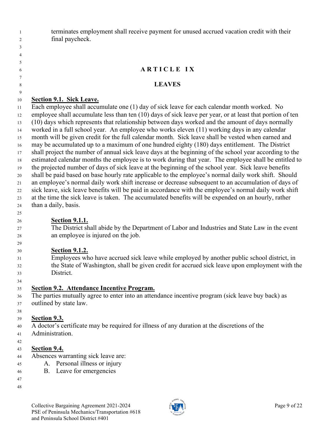terminates employment shall receive payment for unused accrued vacation credit with their final paycheck.

#### **A R T I C L E I X**

#### **LEAVES**

#### **Section 9.1. Sick Leave.**

 Each employee shall accumulate one (1) day of sick leave for each calendar month worked. No employee shall accumulate less than ten (10) days of sick leave per year, or at least that portion of ten (10) days which represents that relationship between days worked and the amount of days normally worked in a full school year. An employee who works eleven (11) working days in any calendar month will be given credit for the full calendar month. Sick leave shall be vested when earned and may be accumulated up to a maximum of one hundred eighty (180) days entitlement. The District shall project the number of annual sick leave days at the beginning of the school year according to the estimated calendar months the employee is to work during that year. The employee shall be entitled to the projected number of days of sick leave at the beginning of the school year. Sick leave benefits shall be paid based on base hourly rate applicable to the employee's normal daily work shift. Should an employee's normal daily work shift increase or decrease subsequent to an accumulation of days of sick leave, sick leave benefits will be paid in accordance with the employee's normal daily work shift at the time the sick leave is taken. The accumulated benefits will be expended on an hourly, rather than a daily, basis.

 

#### **Section 9.1.1.**

 The District shall abide by the Department of Labor and Industries and State Law in the event an employee is injured on the job.

#### **Section 9.1.2.**

 Employees who have accrued sick leave while employed by another public school district, in the State of Washington, shall be given credit for accrued sick leave upon employment with the District.

#### **Section 9.2. Attendance Incentive Program.**

 The parties mutually agree to enter into an attendance incentive program (sick leave buy back) as outlined by state law.

#### **Section 9.3.**

 A doctor's certificate may be required for illness of any duration at the discretions of the Administration.

#### **Section 9.4.**

- Absences warranting sick leave are:
- A. Personal illness or injury
- B. Leave for emergencies
- 

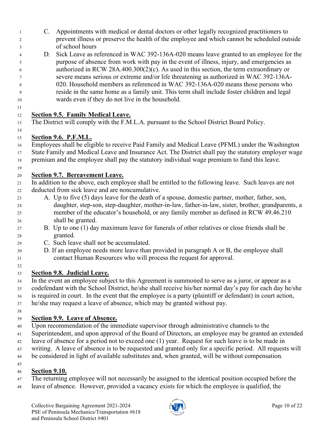- C. Appointments with medical or dental doctors or other legally recognized practitioners to prevent illness or preserve the health of the employee and which cannot be scheduled outside of school hours
- D. Sick Leave as referenced in WAC 392-136A-020 means leave granted to an employee for the purpose of absence from work with pay in the event of illness, injury, and emergencies as authorized in RCW 28A.400.300(2)(c). As used in this section, the term extraordinary or severe means serious or extreme and/or life threatening as authorized in WAC 392-136A- 020. Household members as referenced in WAC 392-136A-020 means those persons who reside in the same home as a family unit. This term shall include foster children and legal wards even if they do not live in the household.

#### **Section 9.5. Family Medical Leave.**

The District will comply with the F.M.L.A. pursuant to the School District Board Policy.

#### **Section 9.6. P.F.M.L.**

Employees shall be eligible to receive Paid Family and Medical Leave (PFML) under the Washington

- State Family and Medical Leave and Insurance Act. The District shall pay the statutory employer wage
- premium and the employee shall pay the statutory individual wage premium to fund this leave.
- 

#### **Section 9.7. Bereavement Leave.**

 In addition to the above, each employee shall be entitled to the following leave. Such leaves are not deducted from sick leave and are noncumulative.

- A. Up to five (5) days leave for the death of a spouse, domestic partner, mother, father, son, daughter, step-son, step-daughter, mother-in-law, father-in-law, sister, brother, grandparents, a member of the educator's household, or any family member as defined in [RCW 49.46.210](https://app.leg.wa.gov/rcw/default.aspx?cite=49.46.210) shall be granted.
- B. Up to one (1) day maximum leave for funerals of other relatives or close friends shall be granted.
- C. Such leave shall not be accumulated.
- D. If an employee needs more leave than provided in paragraph A or B, the employee shall contact Human Resources who will process the request for approval.
- 

#### **Section 9.8. Judicial Leave.**

 In the event an employee subject to this Agreement is summoned to serve as a juror, or appear as a codefendant with the School District, he/she shall receive his/her normal day's pay for each day he/she is required in court. In the event that the employee is a party (plaintiff or defendant) in court action,

- he/she may request a leave of absence, which may be granted without pay.
- 

#### **Section 9.9. Leave of Absence.**

Upon recommendation of the immediate supervisor through administrative channels to the

- Superintendent, and upon approval of the Board of Directors, an employee may be granted an extended
- leave of absence for a period not to exceed one (1) year. Request for such leave is to be made in
- writing. A leave of absence is to be requested and granted only for a specific period. All requests will
- be considered in light of available substitutes and, when granted, will be without compensation.

#### **Section 9.10.**

- The returning employee will not necessarily be assigned to the identical position occupied before the
- leave of absence. However, provided a vacancy exists for which the employee is qualified, the

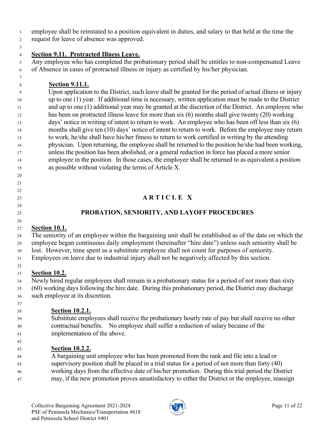employee shall be reinstated to a position equivalent in duties, and salary to that held at the time the

request for leave of absence was approved.

 

#### **Section 9.11. Protracted Illness Leave.**

 Any employee who has completed the probationary period shall be entitles to non-compensated Leave of Absence in cases of protracted illness or injury as certified by his/her physician.

**Section 9.11.1.**

 Upon application to the District, such leave shall be granted for the period of actual illness or injury up to one (1) year. If additional time is necessary, written application must be made to the District and up to one (1) additional year may be granted at the discretion of the District. An employee who has been on protracted illness leave for more than six (6) months shall give twenty (20) working days' notice in writing of intent to return to work. An employee who has been off less than six (6) months shall give ten (10) days' notice of intent to return to work. Before the employee may return to work, he/she shall have his/her fitness to return to work certified in writing by the attending physician. Upon returning, the employee shall be returned to the position he/she had been working, unless the position has been abolished, or a general reduction in force has placed a more senior employee in the position. In those cases, the employee shall be returned to as equivalent a position as possible without violating the terms of Article X.

# **A R T I C L E X**

### **PROBATION, SENIORITY, AND LAYOFF PROCEDURES**

#### **Section 10.1.**

 The seniority of an employee within the bargaining unit shall be established as of the date on which the employee began continuous daily employment (hereinafter "hire date") unless such seniority shall be lost. However, time spent as a substitute employee shall not count for purposes of seniority.

Employees on leave due to industrial injury shall not be negatively affected by this section.

#### **Section 10.2.**

 Newly hired regular employees shall remain in a probationary status for a period of not more than sixty (60) working days following the hire date. During this probationary period, the District may discharge such employee at its discretion.

# **Section 10.2.1.**

# Substitute employees shall receive the probationary hourly rate of pay but shall receive no other

- contractual benefits. No employee shall suffer a reduction of salary because of the
- implementation of the above.

# **Section 10.2.2.**

A bargaining unit employee who has been promoted from the rank and file into a lead or

supervisory position shall be placed in a trial status for a period of not more than forty (40)

working days from the effective date of his/her promotion. During this trial period the District

may, if the new promotion proves unsatisfactory to either the District or the employee, reassign

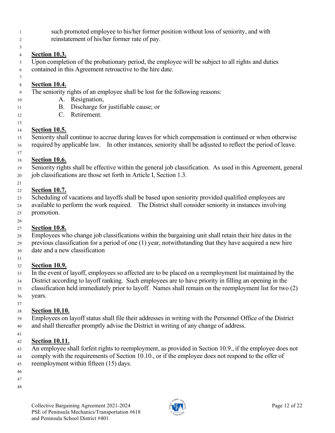- such promoted employee to his/her former position without loss of seniority, and with
- reinstatement of his/her former rate of pay.

#### **Section 10.3.**

 Upon completion of the probationary period, the employee will be subject to all rights and duties contained in this Agreement retroactive to the hire date.

#### **Section 10.4.**

- The seniority rights of an employee shall be lost for the following reasons:
- A. Resignation,
- B. Discharge for justifiable cause; or
- C. Retirement.
- 

#### **Section 10.5.**

 Seniority shall continue to accrue during leaves for which compensation is continued or when otherwise required by applicable law. In other instances, seniority shall be adjusted to reflect the period of leave.

#### **Section 10.6.**

 Seniority rights shall be effective within the general job classification. As used in this Agreement, general job classifications are those set forth in Article I, Section 1.3.

#### **Section 10.7.**

Scheduling of vacations and layoffs shall be based upon seniority provided qualified employees are

 available to perform the work required. The District shall consider seniority in instances involving promotion.

#### **Section 10.8.**

 Employees who change job classifications within the bargaining unit shall retain their hire dates in the previous classification for a period of one (1) year, notwithstanding that they have acquired a new hire date and a new classification

#### **Section 10.9.**

- In the event of layoff, employees so affected are to be placed on a reemployment list maintained by the
- District according to layoff ranking. Such employees are to have priority in filling an opening in the

 classification held immediately prior to layoff. Names shall remain on the reemployment list for two (2) years.

#### **Section 10.10.**

 Employees on layoff status shall file their addresses in writing with the Personnel Office of the District and shall thereafter promptly advise the District in writing of any change of address.

#### **Section 10.11.**

An employee shall forfeit rights to reemployment, as provided in Section 10.9., if the employee does not

 comply with the requirements of Section 10.10., or if the employee does not respond to the offer of reemployment within fifteen (15) days.

- 
- 

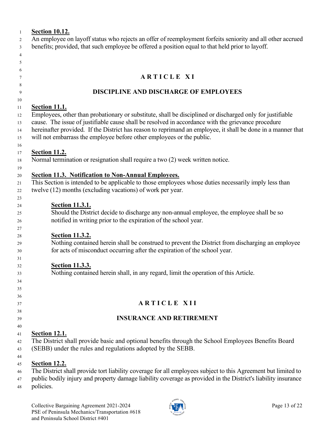| $\mathbf{1}$   | <b>Section 10.12.</b>                                                                                                                                                                 |
|----------------|---------------------------------------------------------------------------------------------------------------------------------------------------------------------------------------|
| 2              | An employee on layoff status who rejects an offer of reemployment forfeits seniority and all other accrued                                                                            |
| 3              | benefits; provided, that such employee be offered a position equal to that held prior to layoff.                                                                                      |
| $\overline{4}$ |                                                                                                                                                                                       |
| 5              |                                                                                                                                                                                       |
| 6              |                                                                                                                                                                                       |
| 7              | ARTICLE XI                                                                                                                                                                            |
| 8<br>9         | <b>DISCIPLINE AND DISCHARGE OF EMPLOYEES</b>                                                                                                                                          |
| 10             |                                                                                                                                                                                       |
| 11             | <b>Section 11.1.</b>                                                                                                                                                                  |
| 12             | Employees, other than probationary or substitute, shall be disciplined or discharged only for justifiable                                                                             |
| 13             | cause. The issue of justifiable cause shall be resolved in accordance with the grievance procedure                                                                                    |
| $14$<br>15     | hereinafter provided. If the District has reason to reprimand an employee, it shall be done in a manner that<br>will not embarrass the employee before other employees or the public. |
| 16             |                                                                                                                                                                                       |
| 17             | <b>Section 11.2.</b>                                                                                                                                                                  |
| 18             | Normal termination or resignation shall require a two (2) week written notice.                                                                                                        |
| 19             |                                                                                                                                                                                       |
| 20             | <b>Section 11.3. Notification to Non-Annual Employees.</b>                                                                                                                            |
| 21             | This Section is intended to be applicable to those employees whose duties necessarily imply less than                                                                                 |
| 22             | twelve (12) months (excluding vacations) of work per year.                                                                                                                            |
| 23             |                                                                                                                                                                                       |
| 24             | <b>Section 11.3.1.</b>                                                                                                                                                                |
| 25             | Should the District decide to discharge any non-annual employee, the employee shall be so                                                                                             |
| 26             | notified in writing prior to the expiration of the school year.                                                                                                                       |
| 27             |                                                                                                                                                                                       |
| 28             | <b>Section 11.3.2.</b><br>Nothing contained herein shall be construed to prevent the District from discharging an employee                                                            |
| 29<br>30       | for acts of misconduct occurring after the expiration of the school year.                                                                                                             |
| 31             |                                                                                                                                                                                       |
| 32             | <b>Section 11.3.3.</b>                                                                                                                                                                |
| 33             | Nothing contained herein shall, in any regard, limit the operation of this Article.                                                                                                   |
| 34             |                                                                                                                                                                                       |
| 35             |                                                                                                                                                                                       |
| 36             |                                                                                                                                                                                       |
| 37             | <b>ARTICLE XII</b>                                                                                                                                                                    |
| 38             |                                                                                                                                                                                       |
| 39             | <b>INSURANCE AND RETIREMENT</b>                                                                                                                                                       |
| 40             |                                                                                                                                                                                       |
| 41             | <b>Section 12.1.</b>                                                                                                                                                                  |
| 42<br>43       | The District shall provide basic and optional benefits through the School Employees Benefits Board<br>(SEBB) under the rules and regulations adopted by the SEBB.                     |
| 44             |                                                                                                                                                                                       |
| 45             | <b>Section 12.2.</b>                                                                                                                                                                  |
| 46             | The District shall provide tort liability coverage for all employees subject to this Agreement but limited to                                                                         |
| 47             | public bodily injury and property damage liability coverage as provided in the District's liability insurance                                                                         |
| 48             | policies.                                                                                                                                                                             |
|                |                                                                                                                                                                                       |

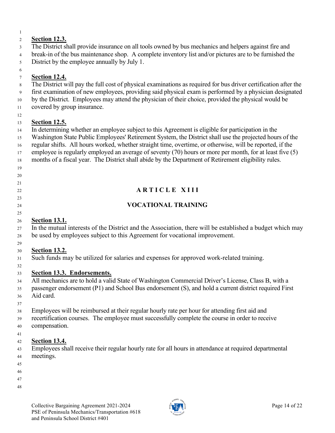### **Section 12.3.**

The District shall provide insurance on all tools owned by bus mechanics and helpers against fire and

break-in of the bus maintenance shop. A complete inventory list and/or pictures are to be furnished the

District by the employee annually by July 1.

#### **Section 12.4.**

The District will pay the full cost of physical examinations as required for bus driver certification after the

first examination of new employees, providing said physical exam is performed by a physician designated

by the District. Employees may attend the physician of their choice, provided the physical would be

covered by group insurance.

#### **Section 12.5.**

In determining whether an employee subject to this Agreement is eligible for participation in the

Washington State Public Employees' Retirement System, the District shall use the projected hours of the

regular shifts. All hours worked, whether straight time, overtime, or otherwise, will be reported, if the

employee is regularly employed an average of seventy (70) hours or more per month, for at least five (5)

- months of a fiscal year. The District shall abide by the Department of Retirement eligibility rules.
- 
- 

## 

- 
- 

# **A R T I C L E X I I I**

#### **VOCATIONAL TRAINING**

#### **Section 13.1.**

 In the mutual interests of the District and the Association, there will be established a budget which may be used by employees subject to this Agreement for vocational improvement.

#### **Section 13.2.**

Such funds may be utilized for salaries and expenses for approved work-related training.

#### **Section 13.3. Endorsements.**

 All mechanics are to hold a valid State of Washington Commercial Driver's License, Class B, with a passenger endorsement (P1) and School Bus endorsement (S), and hold a current district required First Aid card.

Employees will be reimbursed at their regular hourly rate per hour for attending first aid and

 recertification courses. The employee must successfully complete the course in order to receive compensation.

#### **Section 13.4.**

 Employees shall receive their regular hourly rate for all hours in attendance at required departmental meetings.

- 
- 
- 

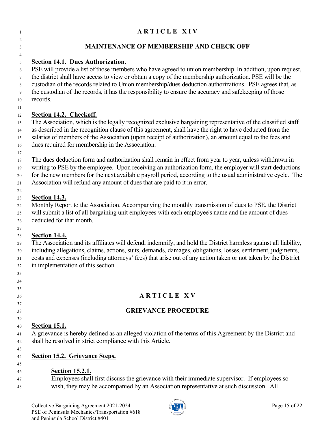#### **A R T I C L E X I V**

#### **MAINTENANCE OF MEMBERSHIP AND CHECK OFF**

#### **Section 14.1. Dues Authorization.**

 PSE will provide a list of those members who have agreed to union membership. In addition, upon request, the district shall have access to view or obtain a copy of the membership authorization. PSE will be the custodian of the records related to Union membership/dues deduction authorizations. PSE agrees that, as the custodian of the records, it has the responsibility to ensure the accuracy and safekeeping of those records.

#### **Section 14.2. Checkoff.**

 The Association, which is the legally recognized exclusive bargaining representative of the classified staff as described in the recognition clause of this agreement, shall have the right to have deducted from the salaries of members of the Association (upon receipt of authorization), an amount equal to the fees and dues required for membership in the Association.

 The dues deduction form and authorization shall remain in effect from year to year, unless withdrawn in writing to PSE by the employee. Upon receiving an authorization form, the employer will start deductions

for the new members for the next available payroll period, according to the usual administrative cycle. The

Association will refund any amount of dues that are paid to it in error.

#### **Section 14.3.**

 Monthly Report to the Association. Accompanying the monthly transmission of dues to PSE, the District will submit a list of all bargaining unit employees with each employee's name and the amount of dues deducted for that month.

#### **Section 14.4.**

The Association and its affiliates will defend, indemnify, and hold the District harmless against all liability,

 including allegations, claims, actions, suits, demands, damages, obligations, losses, settlement, judgments, costs and expenses (including attorneys' fees) that arise out of any action taken or not taken by the District

in implementation of this section.

- **A R T I C L E X V**
- **GRIEVANCE PROCEDURE**
- 

#### **Section 15.1.**

 A grievance is hereby defined as an alleged violation of the terms of this Agreement by the District and shall be resolved in strict compliance with this Article.

#### **Section 15.2. Grievance Steps.**

#### **Section 15.2.1.**

 Employees shall first discuss the grievance with their immediate supervisor. If employees so wish, they may be accompanied by an Association representative at such discussion. All

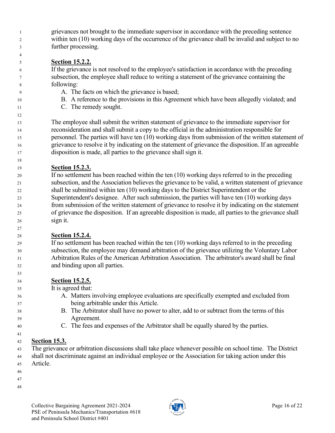grievances not brought to the immediate supervisor in accordance with the preceding sentence within ten (10) working days of the occurrence of the grievance shall be invalid and subject to no further processing.

#### **Section 15.2.2.**

 If the grievance is not resolved to the employee's satisfaction in accordance with the preceding subsection, the employee shall reduce to writing a statement of the grievance containing the following:

- A. The facts on which the grievance is based;
- B. A reference to the provisions in this Agreement which have been allegedly violated; and
- C. The remedy sought.

 The employee shall submit the written statement of grievance to the immediate supervisor for reconsideration and shall submit a copy to the official in the administration responsible for personnel. The parties will have ten (10) working days from submission of the written statement of grievance to resolve it by indicating on the statement of grievance the disposition. If an agreeable disposition is made, all parties to the grievance shall sign it.

#### **Section 15.2.3.**

 If no settlement has been reached within the ten (10) working days referred to in the preceding subsection, and the Association believes the grievance to be valid, a written statement of grievance shall be submitted within ten (10) working days to the District Superintendent or the Superintendent's designee. After such submission, the parties will have ten (10) working days from submission of the written statement of grievance to resolve it by indicating on the statement of grievance the disposition. If an agreeable disposition is made, all parties to the grievance shall sign it.

#### **Section 15.2.4.**

 If no settlement has been reached within the ten (10) working days referred to in the preceding subsection, the employee may demand arbitration of the grievance utilizing the Voluntary Labor Arbitration Rules of the American Arbitration Association. The arbitrator's award shall be final and binding upon all parties.

#### **Section 15.2.5.**

It is agreed that:

- A. Matters involving employee evaluations are specifically exempted and excluded from being arbitrable under this Article.
- B. The Arbitrator shall have no power to alter, add to or subtract from the terms of this Agreement.
- C. The fees and expenses of the Arbitrator shall be equally shared by the parties.

#### **Section 15.3.**

The grievance or arbitration discussions shall take place whenever possible on school time. The District

 shall not discriminate against an individual employee or the Association for taking action under this Article.

- 
- 

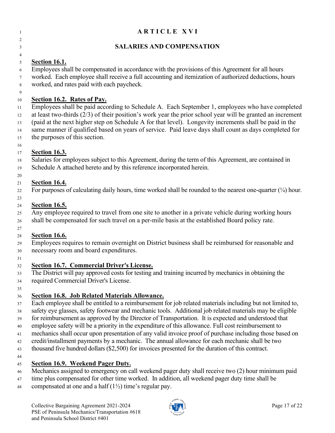| -1                         | <b>ARTICLE XVI</b>                                                                                                                                                                                                                                                                                                                                                                                                                                                  |
|----------------------------|---------------------------------------------------------------------------------------------------------------------------------------------------------------------------------------------------------------------------------------------------------------------------------------------------------------------------------------------------------------------------------------------------------------------------------------------------------------------|
| 2<br>3                     | <b>SALARIES AND COMPENSATION</b>                                                                                                                                                                                                                                                                                                                                                                                                                                    |
| 4                          |                                                                                                                                                                                                                                                                                                                                                                                                                                                                     |
| 5<br>6<br>7<br>8           | <b>Section 16.1.</b><br>Employees shall be compensated in accordance with the provisions of this Agreement for all hours<br>worked. Each employee shall receive a full accounting and itemization of authorized deductions, hours<br>worked, and rates paid with each paycheck.                                                                                                                                                                                     |
| 9<br>10                    | Section 16.2. Rates of Pay.                                                                                                                                                                                                                                                                                                                                                                                                                                         |
| 11<br>12<br>13<br>14<br>15 | Employees shall be paid according to Schedule A. Each September 1, employees who have completed<br>at least two-thirds $(2/3)$ of their position's work year the prior school year will be granted an increment<br>(paid at the next higher step on Schedule A for that level). Longevity increments shall be paid in the<br>same manner if qualified based on years of service. Paid leave days shall count as days completed for<br>the purposes of this section. |
| 16<br>17                   | <b>Section 16.3.</b>                                                                                                                                                                                                                                                                                                                                                                                                                                                |
| 18<br>19                   | Salaries for employees subject to this Agreement, during the term of this Agreement, are contained in<br>Schedule A attached hereto and by this reference incorporated herein.                                                                                                                                                                                                                                                                                      |
| 20                         | <b>Section 16.4.</b>                                                                                                                                                                                                                                                                                                                                                                                                                                                |
| 21<br>22<br>23             | For purposes of calculating daily hours, time worked shall be rounded to the nearest one-quarter $(1/4)$ hour.                                                                                                                                                                                                                                                                                                                                                      |
| 24<br>25<br>26             | <b>Section 16.5.</b><br>Any employee required to travel from one site to another in a private vehicle during working hours<br>shall be compensated for such travel on a per-mile basis at the established Board policy rate.                                                                                                                                                                                                                                        |
| 27                         |                                                                                                                                                                                                                                                                                                                                                                                                                                                                     |
| 28<br>29<br>30             | <b>Section 16.6.</b><br>Employees requires to remain overnight on District business shall be reimbursed for reasonable and<br>necessary room and board expenditures.                                                                                                                                                                                                                                                                                                |
| 31<br>32                   | <b>Section 16.7. Commercial Driver's License.</b>                                                                                                                                                                                                                                                                                                                                                                                                                   |
| 33                         | The District will pay approved costs for testing and training incurred by mechanics in obtaining the                                                                                                                                                                                                                                                                                                                                                                |
| 34                         | required Commercial Driver's License.                                                                                                                                                                                                                                                                                                                                                                                                                               |
| 35                         |                                                                                                                                                                                                                                                                                                                                                                                                                                                                     |
| 36                         | <b>Section 16.8. Job Related Materials Allowance.</b>                                                                                                                                                                                                                                                                                                                                                                                                               |
| 37<br>38                   | Each employee shall be entitled to a reimbursement for job related materials including but not limited to,<br>safety eye glasses, safety footwear and mechanic tools. Additional job related materials may be eligible                                                                                                                                                                                                                                              |
| 39                         | for reimbursement as approved by the Director of Transportation. It is expected and understood that                                                                                                                                                                                                                                                                                                                                                                 |
| 40                         | employee safety will be a priority in the expenditure of this allowance. Full cost reimbursement to                                                                                                                                                                                                                                                                                                                                                                 |
| 41                         | mechanics shall occur upon presentation of any valid invoice proof of purchase including those based on                                                                                                                                                                                                                                                                                                                                                             |
| 42                         | credit/installment payments by a mechanic. The annual allowance for each mechanic shall be two                                                                                                                                                                                                                                                                                                                                                                      |
| 43                         | thousand five hundred dollars (\$2,500) for invoices presented for the duration of this contract.                                                                                                                                                                                                                                                                                                                                                                   |
| 44                         |                                                                                                                                                                                                                                                                                                                                                                                                                                                                     |

#### **Section 16.9. Weekend Pager Duty.**

- 46 Mechanics assigned to emergency on call weekend pager duty shall receive two (2) hour minimum paid
- time plus compensated for other time worked. In addition, all weekend pager duty time shall be
- 48 compensated at one and a half  $(1\frac{1}{2})$  time's regular pay.

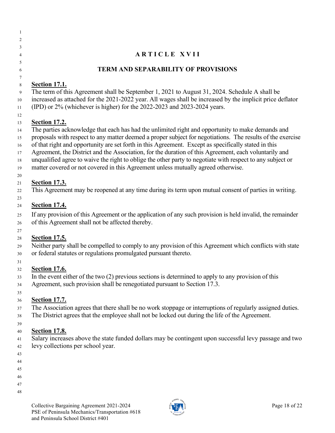| 2              |                                                                                                            |
|----------------|------------------------------------------------------------------------------------------------------------|
| 3              |                                                                                                            |
| $\overline{4}$ | <b>ARTICLE XVII</b>                                                                                        |
| $\overline{5}$ |                                                                                                            |
| 6              | <b>TERM AND SEPARABILITY OF PROVISIONS</b>                                                                 |
| $\tau$         |                                                                                                            |
| 8              | <b>Section 17.1.</b>                                                                                       |
| 9              | The term of this Agreement shall be September 1, 2021 to August 31, 2024. Schedule A shall be              |
| $10\,$         | increased as attached for the 2021-2022 year. All wages shall be increased by the implicit price deflator  |
| 11             | (IPD) or 2% (whichever is higher) for the 2022-2023 and 2023-2024 years.                                   |
| 12<br>13       | <b>Section 17.2.</b>                                                                                       |
| 14             | The parties acknowledge that each has had the unlimited right and opportunity to make demands and          |
| 15             | proposals with respect to any matter deemed a proper subject for negotiations. The results of the exercise |
| 16             | of that right and opportunity are set forth in this Agreement. Except as specifically stated in this       |
| 17             | Agreement, the District and the Association, for the duration of this Agreement, each voluntarily and      |
| 18             | unqualified agree to waive the right to oblige the other party to negotiate with respect to any subject or |
| 19             | matter covered or not covered in this Agreement unless mutually agreed otherwise.                          |
| 20             |                                                                                                            |
| 21             | <b>Section 17.3.</b>                                                                                       |
| 22             | This Agreement may be reopened at any time during its term upon mutual consent of parties in writing.      |
| 23             |                                                                                                            |
| 24             | <b>Section 17.4.</b>                                                                                       |
| 25             | If any provision of this Agreement or the application of any such provision is held invalid, the remainder |
| 26             | of this Agreement shall not be affected thereby.                                                           |
| 27             |                                                                                                            |
| 28             | <b>Section 17.5.</b>                                                                                       |
| 29             | Neither party shall be compelled to comply to any provision of this Agreement which conflicts with state   |
| 30             | or federal statutes or regulations promulgated pursuant thereto.                                           |
| 31             |                                                                                                            |
| 32             | <b>Section 17.6.</b>                                                                                       |
| 33             | In the event either of the two $(2)$ previous sections is determined to apply to any provision of this     |
| 34             | Agreement, such provision shall be renegotiated pursuant to Section 17.3.                                  |
| 35             |                                                                                                            |
| 36             | <b>Section 17.7.</b>                                                                                       |
| 37             | The Association agrees that there shall be no work stoppage or interruptions of regularly assigned duties. |
| 38             | The District agrees that the employee shall not be locked out during the life of the Agreement.            |
| 39             |                                                                                                            |
| 40             | <b>Section 17.8.</b>                                                                                       |

- Salary increases above the state funded dollars may be contingent upon successful levy passage and two levy collections per school year.
- 

 

- 
- 
- 
- 
- 
- 

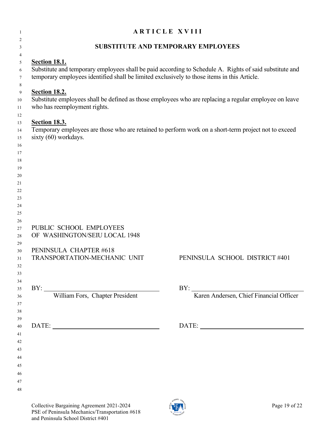| 1                          | <b>ARTICLE XVIII</b>                                                                                                                                                                                                           |                                                                                                                                                                                                                                                                                                                                                                                                                                                                                                                             |  |  |  |
|----------------------------|--------------------------------------------------------------------------------------------------------------------------------------------------------------------------------------------------------------------------------|-----------------------------------------------------------------------------------------------------------------------------------------------------------------------------------------------------------------------------------------------------------------------------------------------------------------------------------------------------------------------------------------------------------------------------------------------------------------------------------------------------------------------------|--|--|--|
| 2                          |                                                                                                                                                                                                                                |                                                                                                                                                                                                                                                                                                                                                                                                                                                                                                                             |  |  |  |
| 3                          | SUBSTITUTE AND TEMPORARY EMPLOYEES                                                                                                                                                                                             |                                                                                                                                                                                                                                                                                                                                                                                                                                                                                                                             |  |  |  |
| 4<br>5<br>6<br>$\tau$      | <b>Section 18.1.</b><br>Substitute and temporary employees shall be paid according to Schedule A. Rights of said substitute and<br>temporary employees identified shall be limited exclusively to those items in this Article. |                                                                                                                                                                                                                                                                                                                                                                                                                                                                                                                             |  |  |  |
| 8<br>9<br>10<br>11         | <b>Section 18.2.</b><br>who has reemployment rights.                                                                                                                                                                           | Substitute employees shall be defined as those employees who are replacing a regular employee on leave                                                                                                                                                                                                                                                                                                                                                                                                                      |  |  |  |
| 12<br>13<br>14<br>15<br>16 | <b>Section 18.3.</b><br>sixty (60) workdays.                                                                                                                                                                                   | Temporary employees are those who are retained to perform work on a short-term project not to exceed                                                                                                                                                                                                                                                                                                                                                                                                                        |  |  |  |
| 17<br>18<br>19<br>20<br>21 |                                                                                                                                                                                                                                |                                                                                                                                                                                                                                                                                                                                                                                                                                                                                                                             |  |  |  |
| 22<br>23<br>24<br>25<br>26 |                                                                                                                                                                                                                                |                                                                                                                                                                                                                                                                                                                                                                                                                                                                                                                             |  |  |  |
| 27<br>28<br>29             | PUBLIC SCHOOL EMPLOYEES<br>OF WASHINGTON/SEIU LOCAL 1948                                                                                                                                                                       |                                                                                                                                                                                                                                                                                                                                                                                                                                                                                                                             |  |  |  |
| 30<br>31<br>32<br>33       | PENINSULA CHAPTER #618<br>TRANSPORTATION-MECHANIC UNIT                                                                                                                                                                         | PENINSULA SCHOOL DISTRICT #401                                                                                                                                                                                                                                                                                                                                                                                                                                                                                              |  |  |  |
| 34                         |                                                                                                                                                                                                                                |                                                                                                                                                                                                                                                                                                                                                                                                                                                                                                                             |  |  |  |
| 35<br>36<br>37<br>38       | BY: William Fors, Chapter President                                                                                                                                                                                            | BY: Karen Andersen, Chief Financial Officer                                                                                                                                                                                                                                                                                                                                                                                                                                                                                 |  |  |  |
| 39<br>40<br>41<br>42       | DATE:                                                                                                                                                                                                                          | $\textbf{DATE:}\underbrace{\qquad \qquad }_{\qquad \qquad \qquad }\qquad \qquad ~~\qquad \qquad ~~\qquad \qquad ~~\qquad \qquad ~~\qquad \qquad ~~\qquad \qquad ~~\qquad \qquad ~~\qquad \qquad ~~\qquad \qquad ~~\qquad \qquad ~~\qquad \qquad ~~\qquad \qquad ~~\qquad \qquad ~~\qquad \qquad ~~\qquad \qquad ~~\qquad \qquad ~~\qquad \qquad ~~\qquad \qquad ~~\qquad \qquad ~~\qquad \qquad ~~\qquad \qquad ~~\qquad \qquad ~~\qquad \qquad ~~\qquad \qquad ~~\qquad \qquad ~~\qquad \qquad ~~\qquad \qquad ~~\qquad \$ |  |  |  |
| 43<br>44<br>45             |                                                                                                                                                                                                                                |                                                                                                                                                                                                                                                                                                                                                                                                                                                                                                                             |  |  |  |
| 46<br>47<br>48             |                                                                                                                                                                                                                                |                                                                                                                                                                                                                                                                                                                                                                                                                                                                                                                             |  |  |  |

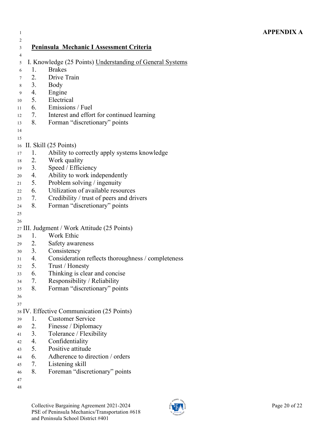| $\mathbf{1}$ |    |                                                           |
|--------------|----|-----------------------------------------------------------|
| 2            |    |                                                           |
| 3            |    | <b>Peninsula Mechanic I Assessment Criteria</b>           |
| 4            |    |                                                           |
| 5            |    | I. Knowledge (25 Points) Understanding of General Systems |
| 6            | 1. | <b>Brakes</b>                                             |
| 7            | 2. | Drive Train                                               |
| 8            | 3. | Body                                                      |
| 9            | 4. | Engine                                                    |
| 10           |    | 5. Electrical                                             |
| 11           |    | 6. Emissions / Fuel                                       |
| 12           | 7. | Interest and effort for continued learning                |
| 13           | 8. | Forman "discretionary" points                             |
| 14           |    |                                                           |
| 15           |    |                                                           |
| 16           |    | II. Skill (25 Points)                                     |
| 17           | 1. | Ability to correctly apply systems knowledge              |
| 18           | 2. | Work quality                                              |
| 19           | 3. | Speed / Efficiency                                        |
| 20           | 4. | Ability to work independently                             |
| 21           | 5. | Problem solving / ingenuity                               |
| 22           | 6. | Utilization of available resources                        |
| 23           | 7. | Credibility / trust of peers and drivers                  |
| 24           | 8. | Forman "discretionary" points                             |
| 25           |    |                                                           |
| 26           |    |                                                           |
|              |    | 27 III. Judgment / Work Attitude (25 Points)              |
| 28           | 1. | Work Ethic                                                |
| 29           | 2. | Safety awareness                                          |
| 30           | 3. | Consistency                                               |
| 31           | 4. | Consideration reflects thoroughness / completeness        |
| 32           | 5. | Trust / Honesty                                           |
| 33           | 6. | Thinking is clear and concise                             |
| 34           | 7. | Responsibility / Reliability                              |
| 35           | 8. | Forman "discretionary" points                             |
| 36           |    |                                                           |
| 37           |    |                                                           |
|              |    | 38 IV. Effective Communication (25 Points)                |
| 39           | 1. | <b>Customer Service</b>                                   |
| 40           | 2. | Finesse / Diplomacy                                       |
| 41           | 3. | Tolerance / Flexibility                                   |
| 42           | 4. | Confidentiality                                           |
| 43           | 5. | Positive attitude                                         |
| 44           | 6. | Adherence to direction / orders                           |

- 7. Listening skill
- 8. Foreman "discretionary" points
- 

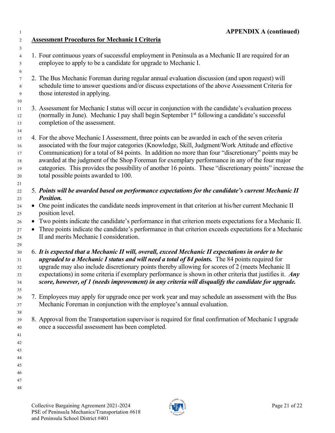**Assessment Procedures for Mechanic I Criteria** 1. Four continuous years of successful employment in Peninsula as a Mechanic II are required for an employee to apply to be a candidate for upgrade to Mechanic I. 2. The Bus Mechanic Foreman during regular annual evaluation discussion (and upon request) will schedule time to answer questions and/or discuss expectations of the above Assessment Criteria for those interested in applying. 3. Assessment for Mechanic I status will occur in conjunction with the candidate's evaluation process 12 (normally in June). Mechanic I pay shall begin September 1<sup>st</sup> following a candidate's successful completion of the assessment. 4. For the above Mechanic I Assessment, three points can be awarded in each of the seven criteria associated with the four major categories (Knowledge, Skill, Judgment/Work Attitude and effective Communication) for a total of 84 points. In addition no more than four "discretionary" points may be awarded at the judgment of the Shop Foreman for exemplary performance in any of the four major categories. This provides the possibility of another 16 points. These "discretionary points" increase the total possible points awarded to 100. 5. *Points will be awarded based on performance expectations for the candidate's current Mechanic II Position.* <sup>24</sup> • One point indicates the candidate needs improvement in that criterion at his/her current Mechanic II position level. • Two points indicate the candidate's performance in that criterion meets expectations for a Mechanic II. • Three points indicate the candidate's performance in that criterion exceeds expectations for a Mechanic II and merits Mechanic I consideration. 6. *It is expected that a Mechanic II will, overall, exceed Mechanic II expectations in order to be upgraded to a Mechanic I status and will need a total of 84 points.* The 84 points required for upgrade may also include discretionary points thereby allowing for scores of 2 (meets Mechanic II expectations) in some criteria if exemplary performance is shown in other criteria that justifies it. *Any score, however, of 1 (needs improvement) in any criteria will disqualify the candidate for upgrade.* 7. Employees may apply for upgrade once per work year and may schedule an assessment with the Bus Mechanic Foreman in conjunction with the employee's annual evaluation. 8. Approval from the Transportation supervisor is required for final confirmation of Mechanic I upgrade once a successful assessment has been completed. 

Collective Bargaining Agreement 2021-2024 Page 21 of 22 PSE of Peninsula Mechanics/Transportation #618 and Peninsula School District #401